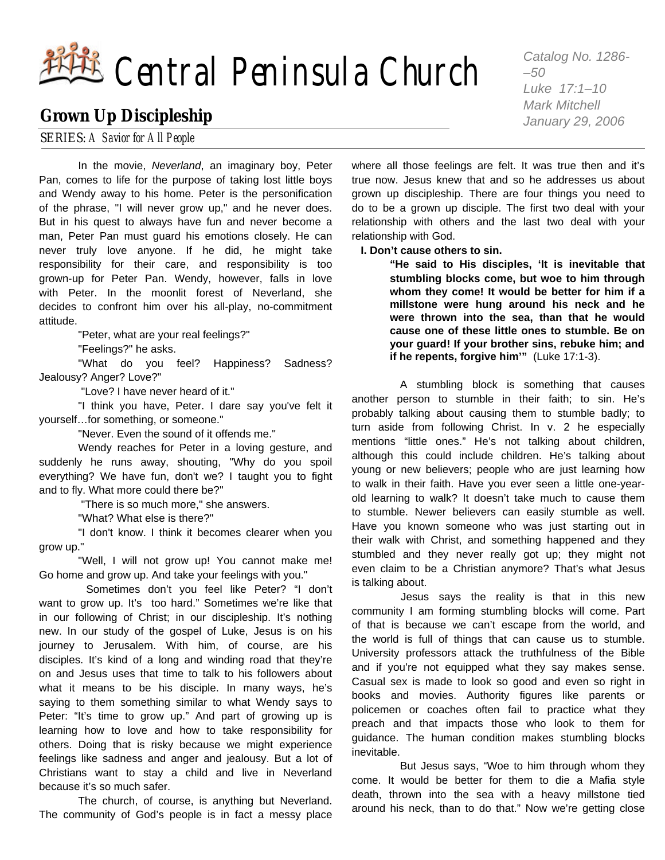# Central Peninsula Church *Catalog No. 1286-*

# **Grown Up Discipleship**

SERIES: *A Savior for All People*

 In the movie, *Neverland*, an imaginary boy, Peter Pan, comes to life for the purpose of taking lost little boys and Wendy away to his home. Peter is the personification of the phrase, "I will never grow up," and he never does. But in his quest to always have fun and never become a man, Peter Pan must guard his emotions closely. He can never truly love anyone. If he did, he might take responsibility for their care, and responsibility is too grown-up for Peter Pan. Wendy, however, falls in love with Peter. In the moonlit forest of Neverland, she decides to confront him over his all-play, no-commitment attitude.

"Peter, what are your real feelings?"

"Feelings?" he asks.

 "What do you feel? Happiness? Sadness? Jealousy? Anger? Love?"

"Love? I have never heard of it."

 "I think you have, Peter. I dare say you've felt it yourself…for something, or someone."

"Never. Even the sound of it offends me."

 Wendy reaches for Peter in a loving gesture, and suddenly he runs away, shouting, "Why do you spoil everything? We have fun, don't we? I taught you to fight and to fly. What more could there be?"

"There is so much more," she answers.

"What? What else is there?"

 "I don't know. I think it becomes clearer when you grow up."

 "Well, I will not grow up! You cannot make me! Go home and grow up. And take your feelings with you."

 Sometimes don't you feel like Peter? "I don't want to grow up. It's too hard." Sometimes we're like that in our following of Christ; in our discipleship. It's nothing new. In our study of the gospel of Luke, Jesus is on his journey to Jerusalem. With him, of course, are his disciples. It's kind of a long and winding road that they're on and Jesus uses that time to talk to his followers about what it means to be his disciple. In many ways, he's saying to them something similar to what Wendy says to Peter: "It's time to grow up." And part of growing up is learning how to love and how to take responsibility for others. Doing that is risky because we might experience feelings like sadness and anger and jealousy. But a lot of Christians want to stay a child and live in Neverland because it's so much safer.

 The church, of course, is anything but Neverland. The community of God's people is in fact a messy place *–50 Luke 17:1–10 Mark Mitchell January 29, 2006*

where all those feelings are felt. It was true then and it's true now. Jesus knew that and so he addresses us about grown up discipleship. There are four things you need to do to be a grown up disciple. The first two deal with your relationship with others and the last two deal with your relationship with God.

**I. Don't cause others to sin.** 

**"He said to His disciples, 'It is inevitable that stumbling blocks come, but woe to him through whom they come! It would be better for him if a millstone were hung around his neck and he were thrown into the sea, than that he would cause one of these little ones to stumble. Be on your guard! If your brother sins, rebuke him; and if he repents, forgive him'"** (Luke 17:1-3).

 A stumbling block is something that causes another person to stumble in their faith; to sin. He's probably talking about causing them to stumble badly; to turn aside from following Christ. In v. 2 he especially mentions "little ones." He's not talking about children, although this could include children. He's talking about young or new believers; people who are just learning how to walk in their faith. Have you ever seen a little one-yearold learning to walk? It doesn't take much to cause them to stumble. Newer believers can easily stumble as well. Have you known someone who was just starting out in their walk with Christ, and something happened and they stumbled and they never really got up; they might not even claim to be a Christian anymore? That's what Jesus is talking about.

 Jesus says the reality is that in this new community I am forming stumbling blocks will come. Part of that is because we can't escape from the world, and the world is full of things that can cause us to stumble. University professors attack the truthfulness of the Bible and if you're not equipped what they say makes sense. Casual sex is made to look so good and even so right in books and movies. Authority figures like parents or policemen or coaches often fail to practice what they preach and that impacts those who look to them for guidance. The human condition makes stumbling blocks inevitable.

 But Jesus says, "Woe to him through whom they come. It would be better for them to die a Mafia style death, thrown into the sea with a heavy millstone tied around his neck, than to do that." Now we're getting close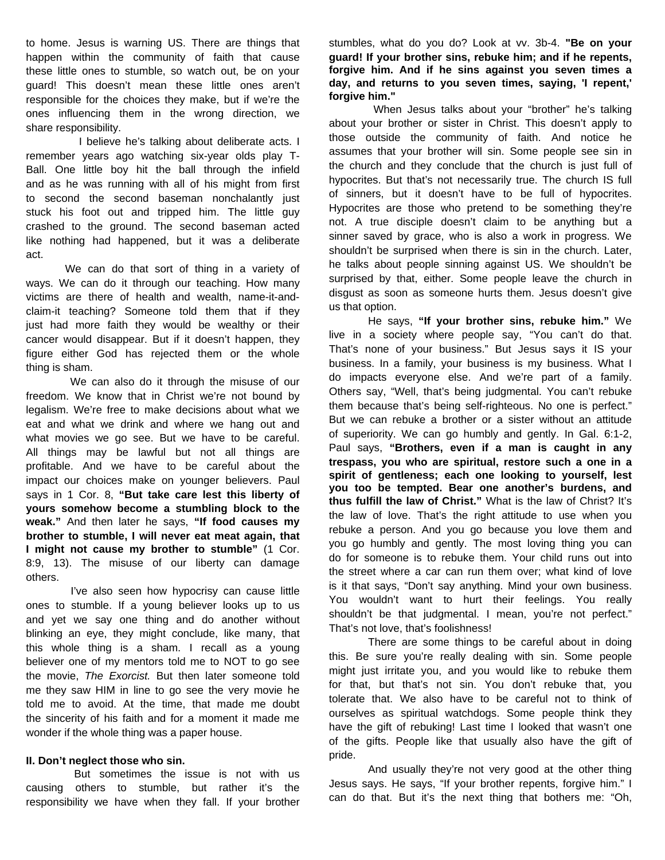to home. Jesus is warning US. There are things that happen within the community of faith that cause these little ones to stumble, so watch out, be on your guard! This doesn't mean these little ones aren't responsible for the choices they make, but if we're the ones influencing them in the wrong direction, we share responsibility.

 I believe he's talking about deliberate acts. I remember years ago watching six-year olds play T-Ball. One little boy hit the ball through the infield and as he was running with all of his might from first to second the second baseman nonchalantly just stuck his foot out and tripped him. The little guy crashed to the ground. The second baseman acted like nothing had happened, but it was a deliberate act.

 We can do that sort of thing in a variety of ways. We can do it through our teaching. How many victims are there of health and wealth, name-it-andclaim-it teaching? Someone told them that if they just had more faith they would be wealthy or their cancer would disappear. But if it doesn't happen, they figure either God has rejected them or the whole thing is sham.

 We can also do it through the misuse of our freedom. We know that in Christ we're not bound by legalism. We're free to make decisions about what we eat and what we drink and where we hang out and what movies we go see. But we have to be careful. All things may be lawful but not all things are profitable. And we have to be careful about the impact our choices make on younger believers. Paul says in 1 Cor. 8, **"But take care lest this liberty of yours somehow become a stumbling block to the weak."** And then later he says, **"If food causes my brother to stumble, I will never eat meat again, that I might not cause my brother to stumble"** (1 Cor. 8:9, 13). The misuse of our liberty can damage others.

 I've also seen how hypocrisy can cause little ones to stumble. If a young believer looks up to us and yet we say one thing and do another without blinking an eye, they might conclude, like many, that this whole thing is a sham. I recall as a young believer one of my mentors told me to NOT to go see the movie, *The Exorcist.* But then later someone told me they saw HIM in line to go see the very movie he told me to avoid. At the time, that made me doubt the sincerity of his faith and for a moment it made me wonder if the whole thing was a paper house.

#### **II. Don't neglect those who sin.**

 But sometimes the issue is not with us causing others to stumble, but rather it's the responsibility we have when they fall. If your brother stumbles, what do you do? Look at vv. 3b-4. **"Be on your guard! If your brother sins, rebuke him; and if he repents, forgive him. And if he sins against you seven times a day, and returns to you seven times, saying, 'I repent,' forgive him."**

 When Jesus talks about your "brother" he's talking about your brother or sister in Christ. This doesn't apply to those outside the community of faith. And notice he assumes that your brother will sin. Some people see sin in the church and they conclude that the church is just full of hypocrites. But that's not necessarily true. The church IS full of sinners, but it doesn't have to be full of hypocrites. Hypocrites are those who pretend to be something they're not. A true disciple doesn't claim to be anything but a sinner saved by grace, who is also a work in progress. We shouldn't be surprised when there is sin in the church. Later, he talks about people sinning against US. We shouldn't be surprised by that, either. Some people leave the church in disgust as soon as someone hurts them. Jesus doesn't give us that option.

 He says, **"If your brother sins, rebuke him."** We live in a society where people say, "You can't do that. That's none of your business." But Jesus says it IS your business. In a family, your business is my business. What I do impacts everyone else. And we're part of a family. Others say, "Well, that's being judgmental. You can't rebuke them because that's being self-righteous. No one is perfect." But we can rebuke a brother or a sister without an attitude of superiority. We can go humbly and gently. In Gal. 6:1-2, Paul says, **"Brothers, even if a man is caught in any trespass, you who are spiritual, restore such a one in a spirit of gentleness; each one looking to yourself, lest you too be tempted. Bear one another's burdens, and thus fulfill the law of Christ."** What is the law of Christ? It's the law of love. That's the right attitude to use when you rebuke a person. And you go because you love them and you go humbly and gently. The most loving thing you can do for someone is to rebuke them. Your child runs out into the street where a car can run them over; what kind of love is it that says, "Don't say anything. Mind your own business. You wouldn't want to hurt their feelings. You really shouldn't be that judgmental. I mean, you're not perfect." That's not love, that's foolishness!

 There are some things to be careful about in doing this. Be sure you're really dealing with sin. Some people might just irritate you, and you would like to rebuke them for that, but that's not sin. You don't rebuke that, you tolerate that. We also have to be careful not to think of ourselves as spiritual watchdogs. Some people think they have the gift of rebuking! Last time I looked that wasn't one of the gifts. People like that usually also have the gift of pride.

 And usually they're not very good at the other thing Jesus says. He says, "If your brother repents, forgive him." I can do that. But it's the next thing that bothers me: "Oh,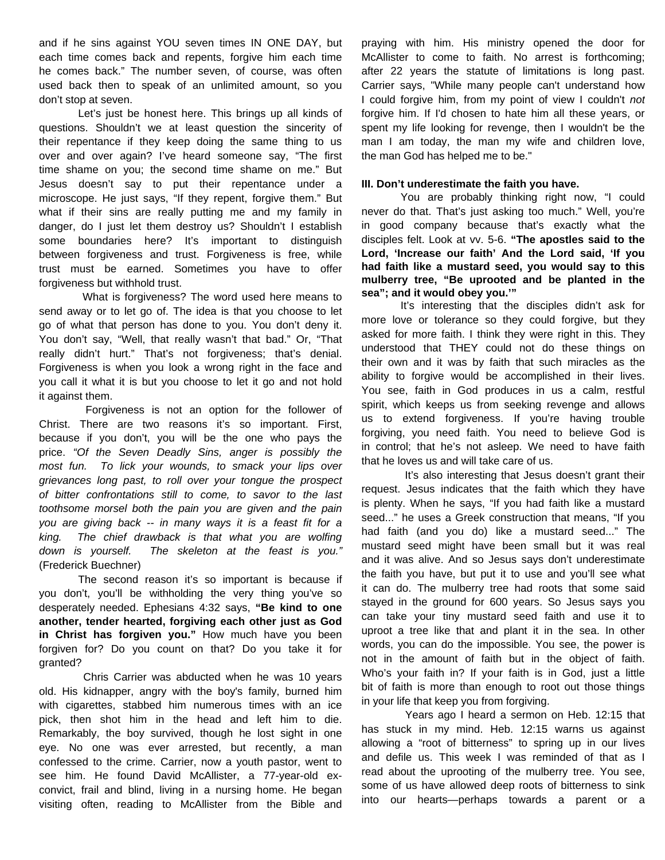and if he sins against YOU seven times IN ONE DAY, but each time comes back and repents, forgive him each time he comes back." The number seven, of course, was often used back then to speak of an unlimited amount, so you don't stop at seven.

 Let's just be honest here. This brings up all kinds of questions. Shouldn't we at least question the sincerity of their repentance if they keep doing the same thing to us over and over again? I've heard someone say, "The first time shame on you; the second time shame on me." But Jesus doesn't say to put their repentance under a microscope. He just says, "If they repent, forgive them." But what if their sins are really putting me and my family in danger, do I just let them destroy us? Shouldn't I establish some boundaries here? It's important to distinguish between forgiveness and trust. Forgiveness is free, while trust must be earned. Sometimes you have to offer forgiveness but withhold trust.

 What is forgiveness? The word used here means to send away or to let go of. The idea is that you choose to let go of what that person has done to you. You don't deny it. You don't say, "Well, that really wasn't that bad." Or, "That really didn't hurt." That's not forgiveness; that's denial. Forgiveness is when you look a wrong right in the face and you call it what it is but you choose to let it go and not hold it against them.

 Forgiveness is not an option for the follower of Christ. There are two reasons it's so important. First, because if you don't, you will be the one who pays the price. *"Of the Seven Deadly Sins, anger is possibly the most fun. To lick your wounds, to smack your lips over grievances long past, to roll over your tongue the prospect of bitter confrontations still to come, to savor to the last toothsome morsel both the pain you are given and the pain you are giving back -- in many ways it is a feast fit for a king. The chief drawback is that what you are wolfing down is yourself. The skeleton at the feast is you."* (Frederick Buechner)

 The second reason it's so important is because if you don't, you'll be withholding the very thing you've so desperately needed. Ephesians 4:32 says, **"Be kind to one another, tender hearted, forgiving each other just as God in Christ has forgiven you."** How much have you been forgiven for? Do you count on that? Do you take it for granted?

 Chris Carrier was abducted when he was 10 years old. His kidnapper, angry with the boy's family, burned him with cigarettes, stabbed him numerous times with an ice pick, then shot him in the head and left him to die. Remarkably, the boy survived, though he lost sight in one eye. No one was ever arrested, but recently, a man confessed to the crime. Carrier, now a youth pastor, went to see him. He found David McAllister, a 77-year-old exconvict, frail and blind, living in a nursing home. He began visiting often, reading to McAllister from the Bible and

praying with him. His ministry opened the door for McAllister to come to faith. No arrest is forthcoming; after 22 years the statute of limitations is long past. Carrier says, "While many people can't understand how I could forgive him, from my point of view I couldn't *not* forgive him. If I'd chosen to hate him all these years, or spent my life looking for revenge, then I wouldn't be the man I am today, the man my wife and children love, the man God has helped me to be."

#### **III. Don't underestimate the faith you have.**

 You are probably thinking right now, "I could never do that. That's just asking too much." Well, you're in good company because that's exactly what the disciples felt. Look at vv. 5-6. **"The apostles said to the Lord, 'Increase our faith' And the Lord said, 'If you had faith like a mustard seed, you would say to this mulberry tree, "Be uprooted and be planted in the sea"; and it would obey you.'"**

 It's interesting that the disciples didn't ask for more love or tolerance so they could forgive, but they asked for more faith. I think they were right in this. They understood that THEY could not do these things on their own and it was by faith that such miracles as the ability to forgive would be accomplished in their lives. You see, faith in God produces in us a calm, restful spirit, which keeps us from seeking revenge and allows us to extend forgiveness. If you're having trouble forgiving, you need faith. You need to believe God is in control; that he's not asleep. We need to have faith that he loves us and will take care of us.

 It's also interesting that Jesus doesn't grant their request. Jesus indicates that the faith which they have is plenty. When he says, "If you had faith like a mustard seed..." he uses a Greek construction that means, "If you had faith (and you do) like a mustard seed..." The mustard seed might have been small but it was real and it was alive. And so Jesus says don't underestimate the faith you have, but put it to use and you'll see what it can do. The mulberry tree had roots that some said stayed in the ground for 600 years. So Jesus says you can take your tiny mustard seed faith and use it to uproot a tree like that and plant it in the sea. In other words, you can do the impossible. You see, the power is not in the amount of faith but in the object of faith. Who's your faith in? If your faith is in God, just a little bit of faith is more than enough to root out those things in your life that keep you from forgiving.

 Years ago I heard a sermon on Heb. 12:15 that has stuck in my mind. Heb. 12:15 warns us against allowing a "root of bitterness" to spring up in our lives and defile us. This week I was reminded of that as I read about the uprooting of the mulberry tree. You see, some of us have allowed deep roots of bitterness to sink into our hearts—perhaps towards a parent or a